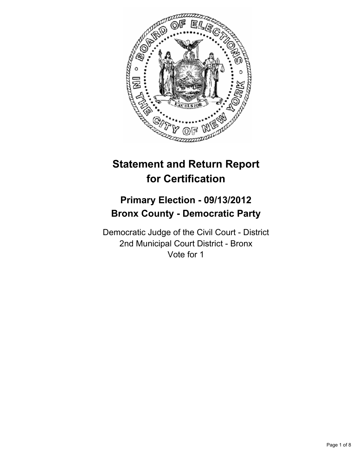

# **Statement and Return Report for Certification**

## **Primary Election - 09/13/2012 Bronx County - Democratic Party**

Democratic Judge of the Civil Court - District 2nd Municipal Court District - Bronx Vote for 1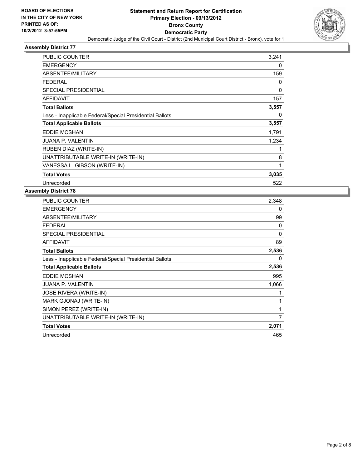

| PUBLIC COUNTER                                           | 3,241 |
|----------------------------------------------------------|-------|
| <b>EMERGENCY</b>                                         | 0     |
| ABSENTEE/MILITARY                                        | 159   |
| <b>FEDERAL</b>                                           | 0     |
| SPECIAL PRESIDENTIAL                                     | 0     |
| <b>AFFIDAVIT</b>                                         | 157   |
| <b>Total Ballots</b>                                     | 3,557 |
| Less - Inapplicable Federal/Special Presidential Ballots | 0     |
| <b>Total Applicable Ballots</b>                          | 3,557 |
| <b>EDDIE MCSHAN</b>                                      | 1,791 |
| <b>JUANA P. VALENTIN</b>                                 | 1,234 |
| RUBEN DIAZ (WRITE-IN)                                    | 1     |
| UNATTRIBUTABLE WRITE-IN (WRITE-IN)                       | 8     |
| VANESSA L. GIBSON (WRITE-IN)                             | 1     |
| <b>Total Votes</b>                                       | 3,035 |
| Unrecorded                                               | 522   |

| PUBLIC COUNTER                                           | 2,348    |
|----------------------------------------------------------|----------|
| <b>EMERGENCY</b>                                         | 0        |
| ABSENTEE/MILITARY                                        | 99       |
| <b>FEDERAL</b>                                           | 0        |
| <b>SPECIAL PRESIDENTIAL</b>                              | $\Omega$ |
| <b>AFFIDAVIT</b>                                         | 89       |
| <b>Total Ballots</b>                                     | 2,536    |
| Less - Inapplicable Federal/Special Presidential Ballots | 0        |
| <b>Total Applicable Ballots</b>                          | 2,536    |
| <b>EDDIE MCSHAN</b>                                      | 995      |
| <b>JUANA P. VALENTIN</b>                                 | 1,066    |
| <b>JOSE RIVERA (WRITE-IN)</b>                            | 1        |
| MARK GJONAJ (WRITE-IN)                                   | 1        |
| SIMON PEREZ (WRITE-IN)                                   | 1        |
| UNATTRIBUTABLE WRITE-IN (WRITE-IN)                       | 7        |
| <b>Total Votes</b>                                       | 2,071    |
| Unrecorded                                               | 465      |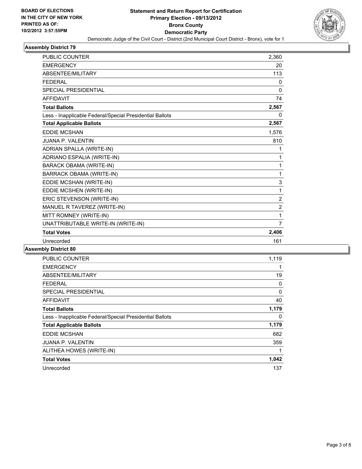

| <b>PUBLIC COUNTER</b>                                    | 2,360          |
|----------------------------------------------------------|----------------|
| <b>EMERGENCY</b>                                         | 20             |
| <b>ABSENTEE/MILITARY</b>                                 | 113            |
| <b>FEDERAL</b>                                           | 0              |
| <b>SPECIAL PRESIDENTIAL</b>                              | 0              |
| <b>AFFIDAVIT</b>                                         | 74             |
| <b>Total Ballots</b>                                     | 2,567          |
| Less - Inapplicable Federal/Special Presidential Ballots | 0              |
| <b>Total Applicable Ballots</b>                          | 2,567          |
| <b>EDDIE MCSHAN</b>                                      | 1,576          |
| <b>JUANA P. VALENTIN</b>                                 | 810            |
| ADRIAN SPALLA (WRITE-IN)                                 | 1              |
| ADRIANO ESPALIA (WRITE-IN)                               | 1              |
| <b>BARACK OBAMA (WRITE-IN)</b>                           | 1              |
| BARRACK OBAMA (WRITE-IN)                                 | 1              |
| EDDIE MCSHAN (WRITE-IN)                                  | 3              |
| EDDIE MCSHEN (WRITE-IN)                                  | 1              |
| ERIC STEVENSON (WRITE-IN)                                | $\overline{2}$ |
| MANUEL R TAVEREZ (WRITE-IN)                              | $\overline{2}$ |
| MITT ROMNEY (WRITE-IN)                                   | 1              |
| UNATTRIBUTABLE WRITE-IN (WRITE-IN)                       | 7              |
| <b>Total Votes</b>                                       | 2,406          |
| Unrecorded                                               | 161            |

| <b>PUBLIC COUNTER</b>                                    | 1,119 |
|----------------------------------------------------------|-------|
| <b>EMERGENCY</b>                                         | 1     |
| ABSENTEE/MILITARY                                        | 19    |
| FEDERAL                                                  | 0     |
| <b>SPECIAL PRESIDENTIAL</b>                              | 0     |
| AFFIDAVIT                                                | 40    |
| <b>Total Ballots</b>                                     | 1,179 |
| Less - Inapplicable Federal/Special Presidential Ballots | 0     |
| <b>Total Applicable Ballots</b>                          | 1,179 |
| <b>EDDIE MCSHAN</b>                                      | 682   |
| <b>JUANA P. VALENTIN</b>                                 | 359   |
| ALITHEA HOWES (WRITE-IN)                                 | 1     |
| <b>Total Votes</b>                                       | 1,042 |
| Unrecorded                                               | 137   |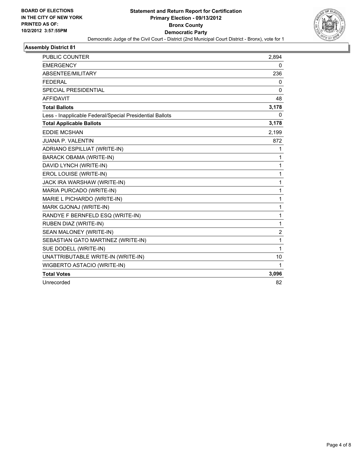

| <b>PUBLIC COUNTER</b>                                    | 2,894 |
|----------------------------------------------------------|-------|
| <b>EMERGENCY</b>                                         | 0     |
| ABSENTEE/MILITARY                                        | 236   |
| <b>FFDFRAL</b>                                           | 0     |
| <b>SPECIAL PRESIDENTIAL</b>                              | 0     |
| <b>AFFIDAVIT</b>                                         | 48    |
| <b>Total Ballots</b>                                     | 3,178 |
| Less - Inapplicable Federal/Special Presidential Ballots | 0     |
| <b>Total Applicable Ballots</b>                          | 3,178 |
| <b>EDDIE MCSHAN</b>                                      | 2,199 |
| JUANA P. VALENTIN                                        | 872   |
| ADRIANO ESPILLIAT (WRITE-IN)                             | 1     |
| <b>BARACK OBAMA (WRITE-IN)</b>                           | 1     |
| DAVID LYNCH (WRITE-IN)                                   | 1     |
| EROL LOUISE (WRITE-IN)                                   | 1     |
| JACK IRA WARSHAW (WRITE-IN)                              | 1     |
| MARIA PURCADO (WRITE-IN)                                 | 1     |
| MARIE L PICHARDO (WRITE-IN)                              | 1     |
| MARK GJONAJ (WRITE-IN)                                   | 1     |
| RANDYE F BERNFELD ESQ (WRITE-IN)                         | 1     |
| RUBEN DIAZ (WRITE-IN)                                    | 1     |
| SEAN MALONEY (WRITE-IN)                                  | 2     |
| SEBASTIAN GATO MARTINEZ (WRITE-IN)                       | 1     |
| SUE DODELL (WRITE-IN)                                    | 1     |
| UNATTRIBUTABLE WRITE-IN (WRITE-IN)                       | 10    |
| WIGBERTO ASTACIO (WRITE-IN)                              | 1     |
| <b>Total Votes</b>                                       | 3,096 |
| Unrecorded                                               | 82    |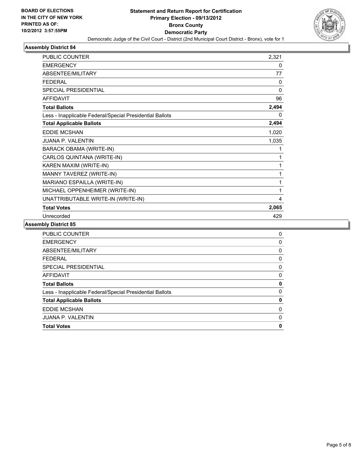

| <b>PUBLIC COUNTER</b>                                    | 2,321    |
|----------------------------------------------------------|----------|
| <b>EMERGENCY</b>                                         | 0        |
| ABSENTEE/MILITARY                                        | 77       |
| <b>FEDERAL</b>                                           | 0        |
| SPECIAL PRESIDENTIAL                                     | $\Omega$ |
| <b>AFFIDAVIT</b>                                         | 96       |
| <b>Total Ballots</b>                                     | 2,494    |
| Less - Inapplicable Federal/Special Presidential Ballots | 0        |
| <b>Total Applicable Ballots</b>                          | 2,494    |
| <b>EDDIE MCSHAN</b>                                      | 1,020    |
| JUANA P. VALENTIN                                        | 1,035    |
| <b>BARACK OBAMA (WRITE-IN)</b>                           | 1        |
| CARLOS QUINTANA (WRITE-IN)                               | 1        |
| KAREN MAXIM (WRITE-IN)                                   | 1        |
| MANNY TAVEREZ (WRITE-IN)                                 | 1        |
| MARIANO ESPAILLA (WRITE-IN)                              | 1        |
| MICHAEL OPPENHEIMER (WRITE-IN)                           | 1        |
| UNATTRIBUTABLE WRITE-IN (WRITE-IN)                       | 4        |
| <b>Total Votes</b>                                       | 2,065    |
| Unrecorded                                               | 429      |

| <b>PUBLIC COUNTER</b>                                    | 0 |
|----------------------------------------------------------|---|
| <b>EMERGENCY</b>                                         | 0 |
| ABSENTEE/MILITARY                                        | 0 |
| <b>FEDERAL</b>                                           | 0 |
| <b>SPECIAL PRESIDENTIAL</b>                              | 0 |
| <b>AFFIDAVIT</b>                                         | 0 |
| <b>Total Ballots</b>                                     | 0 |
| Less - Inapplicable Federal/Special Presidential Ballots | 0 |
| <b>Total Applicable Ballots</b>                          | 0 |
| <b>EDDIE MCSHAN</b>                                      | 0 |
| <b>JUANA P. VALENTIN</b>                                 | 0 |
| <b>Total Votes</b>                                       | 0 |
|                                                          |   |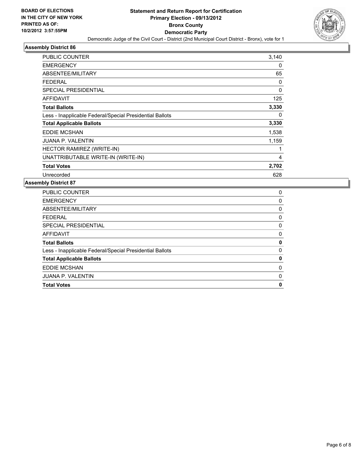

| PUBLIC COUNTER                                           | 3,140 |
|----------------------------------------------------------|-------|
| <b>EMERGENCY</b>                                         | 0     |
| ABSENTEE/MILITARY                                        | 65    |
| FEDERAL                                                  | 0     |
| <b>SPECIAL PRESIDENTIAL</b>                              | 0     |
| <b>AFFIDAVIT</b>                                         | 125   |
| <b>Total Ballots</b>                                     | 3,330 |
| Less - Inapplicable Federal/Special Presidential Ballots | 0     |
| <b>Total Applicable Ballots</b>                          | 3,330 |
| <b>EDDIE MCSHAN</b>                                      | 1,538 |
| <b>JUANA P. VALENTIN</b>                                 | 1,159 |
| HECTOR RAMIREZ (WRITE-IN)                                | 1     |
| UNATTRIBUTABLE WRITE-IN (WRITE-IN)                       | 4     |
| <b>Total Votes</b>                                       | 2,702 |
| Unrecorded                                               | 628   |

| <b>PUBLIC COUNTER</b>                                    | 0 |
|----------------------------------------------------------|---|
| <b>EMERGENCY</b>                                         | 0 |
| ABSENTEE/MILITARY                                        | 0 |
| <b>FEDERAL</b>                                           | 0 |
| SPECIAL PRESIDENTIAL                                     | 0 |
| AFFIDAVIT                                                | 0 |
| <b>Total Ballots</b>                                     | 0 |
| Less - Inapplicable Federal/Special Presidential Ballots | 0 |
| <b>Total Applicable Ballots</b>                          | 0 |
| <b>EDDIE MCSHAN</b>                                      | 0 |
|                                                          |   |
| <b>JUANA P. VALENTIN</b>                                 | 0 |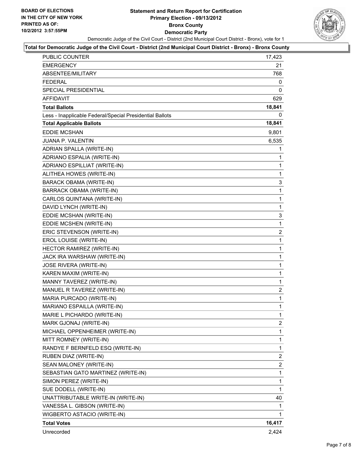#### **Statement and Return Report for Certification Primary Election - 09/13/2012 Bronx County Democratic Party** Democratic Judge of the Civil Court - District (2nd Municipal Court District - Bronx), vote for 1



#### **Total for Democratic Judge of the Civil Court - District (2nd Municipal Court District - Bronx) - Bronx County**

| PUBLIC COUNTER                                           | 17,423         |
|----------------------------------------------------------|----------------|
| <b>EMERGENCY</b>                                         | 21             |
| ABSENTEE/MILITARY                                        | 768            |
| <b>FEDERAL</b>                                           | 0              |
| SPECIAL PRESIDENTIAL                                     | 0              |
| <b>AFFIDAVIT</b>                                         | 629            |
| <b>Total Ballots</b>                                     | 18,841         |
| Less - Inapplicable Federal/Special Presidential Ballots | 0              |
| <b>Total Applicable Ballots</b>                          | 18,841         |
| <b>EDDIE MCSHAN</b>                                      | 9,801          |
| JUANA P. VALENTIN                                        | 6,535          |
| ADRIAN SPALLA (WRITE-IN)                                 | 1              |
| ADRIANO ESPALIA (WRITE-IN)                               | 1              |
| ADRIANO ESPILLIAT (WRITE-IN)                             | 1              |
| ALITHEA HOWES (WRITE-IN)                                 | 1              |
| BARACK OBAMA (WRITE-IN)                                  | 3              |
| BARRACK OBAMA (WRITE-IN)                                 | 1              |
| CARLOS QUINTANA (WRITE-IN)                               | $\mathbf{1}$   |
| DAVID LYNCH (WRITE-IN)                                   | 1              |
| EDDIE MCSHAN (WRITE-IN)                                  | 3              |
| EDDIE MCSHEN (WRITE-IN)                                  | $\mathbf{1}$   |
| ERIC STEVENSON (WRITE-IN)                                | 2              |
| EROL LOUISE (WRITE-IN)                                   | 1              |
| HECTOR RAMIREZ (WRITE-IN)                                | $\mathbf{1}$   |
| JACK IRA WARSHAW (WRITE-IN)                              | 1              |
| <b>JOSE RIVERA (WRITE-IN)</b>                            | 1              |
| KAREN MAXIM (WRITE-IN)                                   | 1              |
| MANNY TAVEREZ (WRITE-IN)                                 | 1              |
| MANUEL R TAVEREZ (WRITE-IN)                              | $\overline{2}$ |
| MARIA PURCADO (WRITE-IN)                                 | $\mathbf{1}$   |
| MARIANO ESPAILLA (WRITE-IN)                              | 1              |
| MARIE L PICHARDO (WRITE-IN)                              | 1              |
| MARK GJONAJ (WRITE-IN)                                   | $\overline{2}$ |
| MICHAEL OPPENHEIMER (WRITE-IN)                           | 1              |
| MITT ROMNEY (WRITE-IN)                                   | 1              |
| RANDYE F BERNFELD ESQ (WRITE-IN)                         | 1              |
| RUBEN DIAZ (WRITE-IN)                                    | 2              |
| SEAN MALONEY (WRITE-IN)                                  | $\overline{2}$ |
| SEBASTIAN GATO MARTINEZ (WRITE-IN)                       | 1              |
| SIMON PEREZ (WRITE-IN)                                   | 1              |
| SUE DODELL (WRITE-IN)                                    | 1              |
| UNATTRIBUTABLE WRITE-IN (WRITE-IN)                       | 40             |
| VANESSA L. GIBSON (WRITE-IN)                             | 1              |
| WIGBERTO ASTACIO (WRITE-IN)                              | 1              |
| <b>Total Votes</b>                                       | 16,417         |
| Unrecorded                                               | 2,424          |